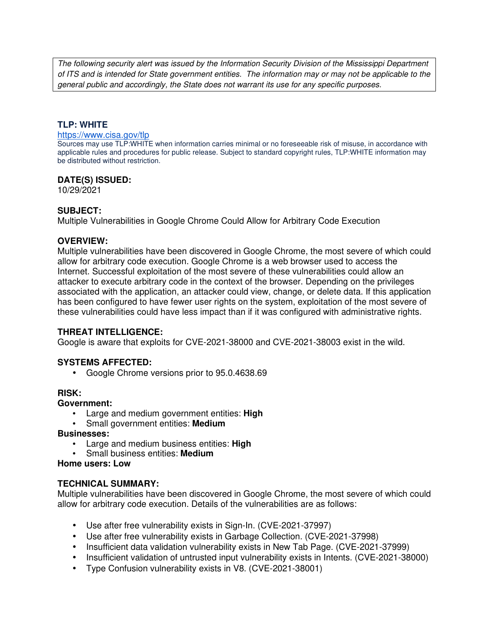The following security alert was issued by the Information Security Division of the Mississippi Department of ITS and is intended for State government entities. The information may or may not be applicable to the general public and accordingly, the State does not warrant its use for any specific purposes.

# **TLP: WHITE**

#### https://www.cisa.gov/tlp

Sources may use TLP:WHITE when information carries minimal or no foreseeable risk of misuse, in accordance with applicable rules and procedures for public release. Subject to standard copyright rules, TLP:WHITE information may be distributed without restriction.

### **DATE(S) ISSUED:**

10/29/2021

### **SUBJECT:**

Multiple Vulnerabilities in Google Chrome Could Allow for Arbitrary Code Execution

#### **OVERVIEW:**

Multiple vulnerabilities have been discovered in Google Chrome, the most severe of which could allow for arbitrary code execution. Google Chrome is a web browser used to access the Internet. Successful exploitation of the most severe of these vulnerabilities could allow an attacker to execute arbitrary code in the context of the browser. Depending on the privileges associated with the application, an attacker could view, change, or delete data. If this application has been configured to have fewer user rights on the system, exploitation of the most severe of these vulnerabilities could have less impact than if it was configured with administrative rights.

# **THREAT INTELLIGENCE:**

Google is aware that exploits for CVE-2021-38000 and CVE-2021-38003 exist in the wild.

# **SYSTEMS AFFECTED:**

• Google Chrome versions prior to 95.0.4638.69

#### **RISK:**

#### **Government:**

- Large and medium government entities: **High**
- Small government entities: **Medium**

#### **Businesses:**

- Large and medium business entities: **High**
- Small business entities: **Medium**

#### **Home users: Low**

# **TECHNICAL SUMMARY:**

Multiple vulnerabilities have been discovered in Google Chrome, the most severe of which could allow for arbitrary code execution. Details of the vulnerabilities are as follows:

- Use after free vulnerability exists in Sign-In. (CVE-2021-37997)
- Use after free vulnerability exists in Garbage Collection. (CVE-2021-37998)
- Insufficient data validation vulnerability exists in New Tab Page. (CVE-2021-37999)
- Insufficient validation of untrusted input vulnerability exists in Intents. (CVE-2021-38000)
- Type Confusion vulnerability exists in V8. (CVE-2021-38001)